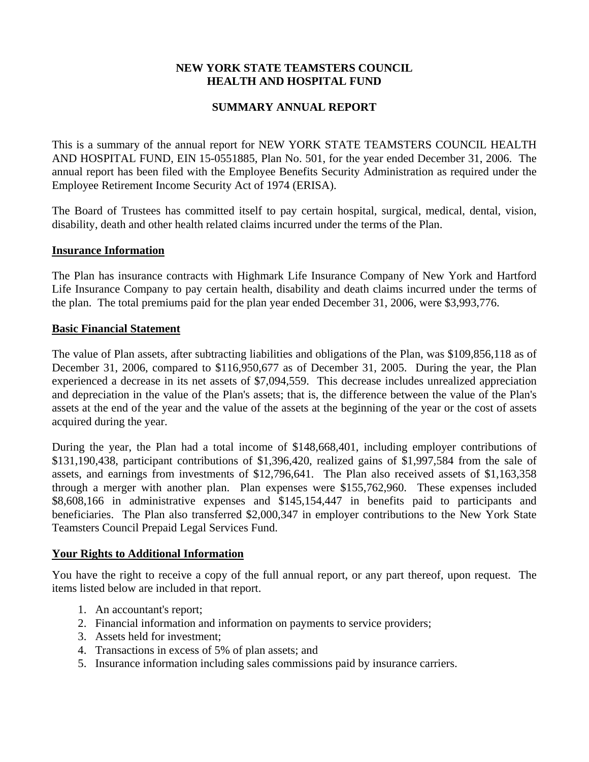# **NEW YORK STATE TEAMSTERS COUNCIL HEALTH AND HOSPITAL FUND**

## **SUMMARY ANNUAL REPORT**

This is a summary of the annual report for NEW YORK STATE TEAMSTERS COUNCIL HEALTH AND HOSPITAL FUND, EIN 15-0551885, Plan No. 501, for the year ended December 31, 2006. The annual report has been filed with the Employee Benefits Security Administration as required under the Employee Retirement Income Security Act of 1974 (ERISA).

The Board of Trustees has committed itself to pay certain hospital, surgical, medical, dental, vision, disability, death and other health related claims incurred under the terms of the Plan.

#### **Insurance Information**

The Plan has insurance contracts with Highmark Life Insurance Company of New York and Hartford Life Insurance Company to pay certain health, disability and death claims incurred under the terms of the plan. The total premiums paid for the plan year ended December 31, 2006, were \$3,993,776.

#### **Basic Financial Statement**

The value of Plan assets, after subtracting liabilities and obligations of the Plan, was \$109,856,118 as of December 31, 2006, compared to \$116,950,677 as of December 31, 2005. During the year, the Plan experienced a decrease in its net assets of \$7,094,559. This decrease includes unrealized appreciation and depreciation in the value of the Plan's assets; that is, the difference between the value of the Plan's assets at the end of the year and the value of the assets at the beginning of the year or the cost of assets acquired during the year.

During the year, the Plan had a total income of \$148,668,401, including employer contributions of \$131,190,438, participant contributions of \$1,396,420, realized gains of \$1,997,584 from the sale of assets, and earnings from investments of \$12,796,641. The Plan also received assets of \$1,163,358 through a merger with another plan. Plan expenses were \$155,762,960. These expenses included \$8,608,166 in administrative expenses and \$145,154,447 in benefits paid to participants and beneficiaries. The Plan also transferred \$2,000,347 in employer contributions to the New York State Teamsters Council Prepaid Legal Services Fund.

### **Your Rights to Additional Information**

You have the right to receive a copy of the full annual report, or any part thereof, upon request. The items listed below are included in that report.

- 1. An accountant's report;
- 2. Financial information and information on payments to service providers;
- 3. Assets held for investment;
- 4. Transactions in excess of 5% of plan assets; and
- 5. Insurance information including sales commissions paid by insurance carriers.